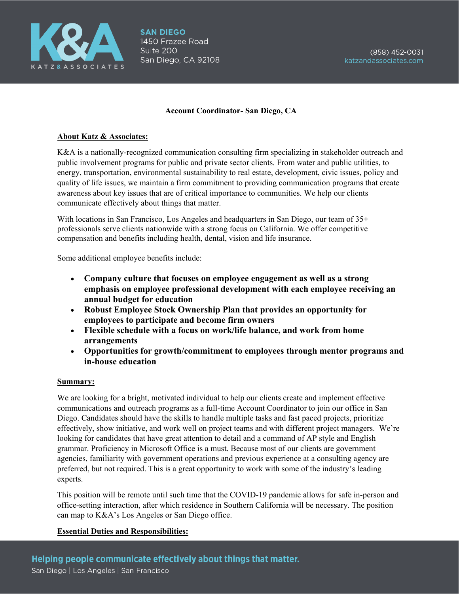

## **Account Coordinator- San Diego, CA**

## **About Katz & Associates:**

K&A is a nationally-recognized communication consulting firm specializing in stakeholder outreach and public involvement programs for public and private sector clients. From water and public utilities, to energy, transportation, environmental sustainability to real estate, development, civic issues, policy and quality of life issues, we maintain a firm commitment to providing communication programs that create awareness about key issues that are of critical importance to communities. We help our clients communicate effectively about things that matter.

With locations in San Francisco, Los Angeles and headquarters in San Diego, our team of 35+ professionals serve clients nationwide with a strong focus on California. We offer competitive compensation and benefits including health, dental, vision and life insurance.

Some additional employee benefits include:

- **Company culture that focuses on employee engagement as well as a strong emphasis on employee professional development with each employee receiving an annual budget for education**
- **Robust Employee Stock Ownership Plan that provides an opportunity for employees to participate and become firm owners**
- **Flexible schedule with a focus on work/life balance, and work from home arrangements**
- **Opportunities for growth/commitment to employees through mentor programs and in-house education**

#### **Summary:**

We are looking for a bright, motivated individual to help our clients create and implement effective communications and outreach programs as a full-time Account Coordinator to join our office in San Diego. Candidates should have the skills to handle multiple tasks and fast paced projects, prioritize effectively, show initiative, and work well on project teams and with different project managers. We're looking for candidates that have great attention to detail and a command of AP style and English grammar. Proficiency in Microsoft Office is a must. Because most of our clients are government agencies, familiarity with government operations and previous experience at a consulting agency are preferred, but not required. This is a great opportunity to work with some of the industry's leading experts.

This position will be remote until such time that the COVID-19 pandemic allows for safe in-person and office-setting interaction, after which residence in Southern California will be necessary. The position can map to K&A's Los Angeles or San Diego office.

#### **Essential Duties and Responsibilities:**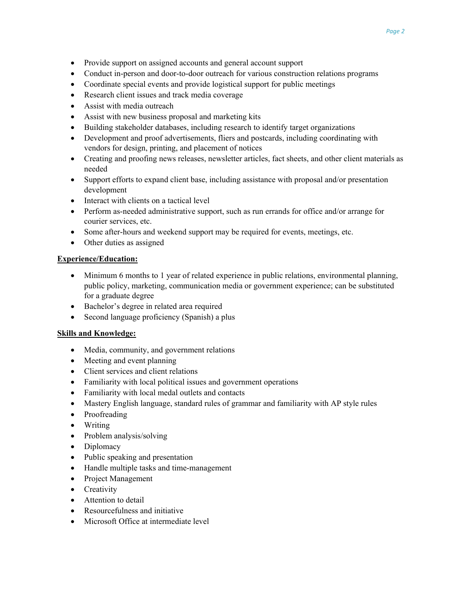- Provide support on assigned accounts and general account support
- Conduct in-person and door-to-door outreach for various construction relations programs
- Coordinate special events and provide logistical support for public meetings
- Research client issues and track media coverage
- Assist with media outreach
- Assist with new business proposal and marketing kits
- Building stakeholder databases, including research to identify target organizations
- Development and proof advertisements, fliers and postcards, including coordinating with vendors for design, printing, and placement of notices
- Creating and proofing news releases, newsletter articles, fact sheets, and other client materials as needed
- Support efforts to expand client base, including assistance with proposal and/or presentation development
- Interact with clients on a tactical level
- Perform as-needed administrative support, such as run errands for office and/or arrange for courier services, etc.
- Some after-hours and weekend support may be required for events, meetings, etc.
- Other duties as assigned

# **Experience/Education:**

- Minimum 6 months to 1 year of related experience in public relations, environmental planning, public policy, marketing, communication media or government experience; can be substituted for a graduate degree
- Bachelor's degree in related area required
- Second language proficiency (Spanish) a plus

# **Skills and Knowledge:**

- Media, community, and government relations
- Meeting and event planning
- Client services and client relations
- Familiarity with local political issues and government operations
- Familiarity with local medal outlets and contacts
- Mastery English language, standard rules of grammar and familiarity with AP style rules
- Proofreading
- Writing
- Problem analysis/solving
- Diplomacy
- Public speaking and presentation
- Handle multiple tasks and time-management
- Project Management
- Creativity
- Attention to detail
- Resourcefulness and initiative
- Microsoft Office at intermediate level